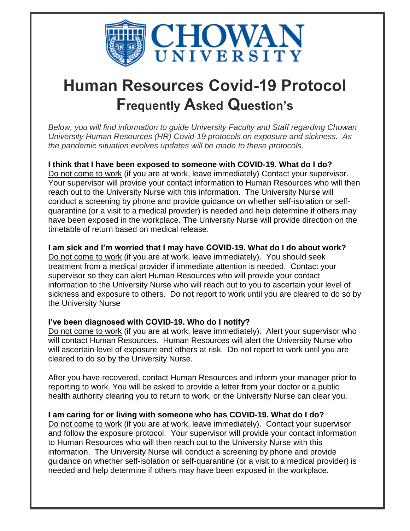

# **Human Resources Covid-19 Protocol Frequently Asked Question's**

*Below, you will find information to guide University Faculty and Staff regarding Chowan University Human Resources (HR) Covid-19 protocols on exposure and sickness. As the pandemic situation evolves updates will be made to these protocols*.

**I think that I have been exposed to someone with COVID-19. What do I do?** Do not come to work (if you are at work, leave immediately) Contact your supervisor. Your supervisor will provide your contact information to Human Resources who will then reach out to the University Nurse with this information. The University Nurse will conduct a screening by phone and provide guidance on whether self-isolation or selfquarantine (or a visit to a medical provider) is needed and help determine if others may have been exposed in the workplace. The University Nurse will provide direction on the timetable of return based on medical release.

## **I am sick and I'm worried that I may have COVID-19. What do I do about work?**

Do not come to work (if you are at work, leave immediately). You should seek treatment from a medical provider if immediate attention is needed. Contact your supervisor so they can alert Human Resources who will provide your contact information to the University Nurse who will reach out to you to ascertain your level of sickness and exposure to others. Do not report to work until you are cleared to do so by the University Nurse

## **I've been diagnosed with COVID-19. Who do I notify?**

Do not come to work (if you are at work, leave immediately). Alert your supervisor who will contact Human Resources. Human Resources will alert the University Nurse who will ascertain level of exposure and others at risk. Do not report to work until you are cleared to do so by the University Nurse.

After you have recovered, contact Human Resources and inform your manager prior to reporting to work. You will be asked to provide a letter from your doctor or a public health authority clearing you to return to work, or the University Nurse can clear you.

## **I am caring for or living with someone who has COVID-19. What do I do?**

Do not come to work (if you are at work, leave immediately). Contact your supervisor and follow the exposure protocol. Your supervisor will provide your contact information to Human Resources who will then reach out to the University Nurse with this information. The University Nurse will conduct a screening by phone and provide guidance on whether self-isolation or self-quarantine (or a visit to a medical provider) is needed and help determine if others may have been exposed in the workplace.